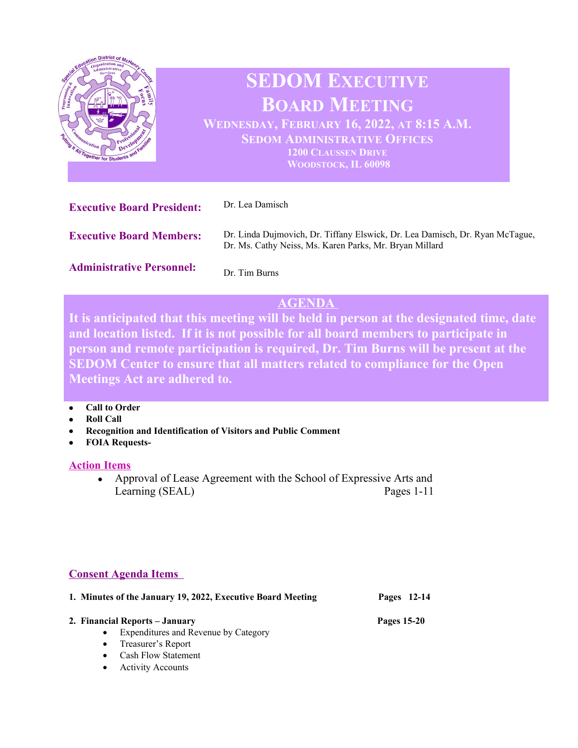

# **AGENDA**

**It is anticipated that this meeting will be held in person at the designated time, date and location listed. If it is not possible for all board members to participate in person and remote participation is required, Dr. Tim Burns will be present at the SEDOM Center to ensure that all matters related to compliance for the Open Meetings Act are adhered to.** 

- **Call to Order**
- **Roll Call**
- **Recognition and Identification of Visitors and Public Comment**
- **FOIA Requests-**

## **Action Items**

• Approval of Lease Agreement with the School of Expressive Arts and Learning (SEAL) Pages 1-11

# **Consent Agenda Items**

|           | 1. Minutes of the January 19, 2022, Executive Board Meeting | Pages 12-14 |
|-----------|-------------------------------------------------------------|-------------|
|           | 2. Financial Reports – January                              | Pages 15-20 |
| $\bullet$ | Expenditures and Revenue by Category                        |             |
|           | • Treasurer's Report                                        |             |
|           | <b>Cash Flow Statement</b>                                  |             |

Activity Accounts